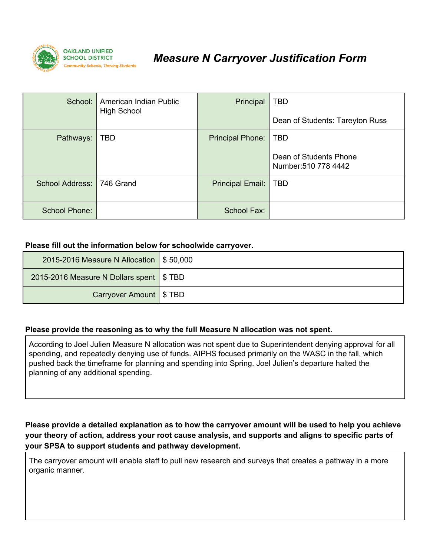

## *Measure N Carryover Justification Form*

| School:                | American Indian Public<br><b>High School</b> | Principal               | <b>TBD</b><br>Dean of Students: Tareyton Russ                |
|------------------------|----------------------------------------------|-------------------------|--------------------------------------------------------------|
| Pathways:              | <b>TBD</b>                                   | <b>Principal Phone:</b> | <b>TBD</b><br>Dean of Students Phone<br>Number: 510 778 4442 |
| <b>School Address:</b> | 746 Grand                                    | Principal Email:        | <b>TBD</b>                                                   |
| School Phone:          |                                              | School Fax:             |                                                              |

## **Please fill out the information below for schoolwide carryover.**

| 2015-2016 Measure N Allocation   \$50,000  |  |
|--------------------------------------------|--|
| 2015-2016 Measure N Dollars spent   \$ TBD |  |
| <b>Carryover Amount   \$ TBD</b>           |  |

## **Please provide the reasoning as to why the full Measure N allocation was not spent.**

According to Joel Julien Measure N allocation was not spent due to Superintendent denying approval for all spending, and repeatedly denying use of funds. AIPHS focused primarily on the WASC in the fall, which pushed back the timeframe for planning and spending into Spring. Joel Julien's departure halted the planning of any additional spending.

Please provide a detailed explanation as to how the carryover amount will be used to help you achieve **your theory of action, address your root cause analysis, and supports and aligns to specific parts of your SPSA to support students and pathway development.**

The carryover amount will enable staff to pull new research and surveys that creates a pathway in a more organic manner.